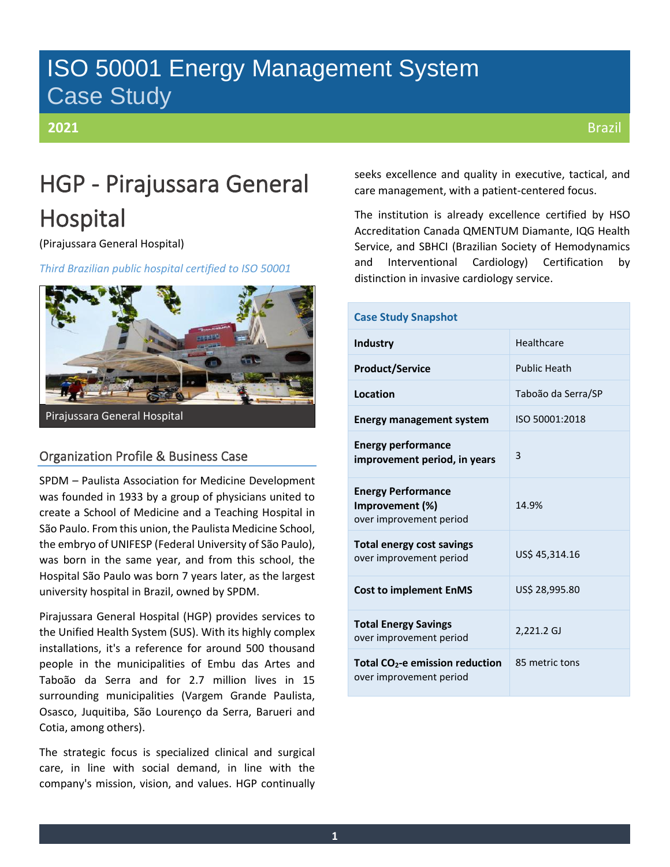## ISO 50001 Energy Management System Case Study

### **2021**

# HGP - Pirajussara General Hospital

(Pirajussara General Hospital)

*Third Brazilian public hospital certified to ISO 50001*



### Organization Profile & Business Case

SPDM – Paulista Association for Medicine Development was founded in 1933 by a group of physicians united to create a School of Medicine and a Teaching Hospital in São Paulo. From this union, the Paulista Medicine School, the embryo of UNIFESP (Federal University of São Paulo), was born in the same year, and from this school, the Hospital São Paulo was born 7 years later, as the largest university hospital in Brazil, owned by SPDM.

Pirajussara General Hospital (HGP) provides services to the Unified Health System (SUS). With its highly complex installations, it's a reference for around 500 thousand people in the municipalities of Embu das Artes and Taboão da Serra and for 2.7 million lives in 15 surrounding municipalities (Vargem Grande Paulista, Osasco, Juquitiba, São Lourenço da Serra, Barueri and Cotia, among others).

The strategic focus is specialized clinical and surgical care, in line with social demand, in line with the company's mission, vision, and values. HGP continually seeks excellence and quality in executive, tactical, and care management, with a patient-centered focus.

The institution is already excellence certified by HSO Accreditation Canada QMENTUM Diamante, IQG Health Service, and SBHCI (Brazilian Society of Hemodynamics and Interventional Cardiology) Certification by distinction in invasive cardiology service.

| <b>Case Study Snapshot</b>                                              |                     |
|-------------------------------------------------------------------------|---------------------|
| Industry                                                                | Healthcare          |
| <b>Product/Service</b>                                                  | <b>Public Heath</b> |
| Location                                                                | Taboão da Serra/SP  |
| <b>Energy management system</b>                                         | ISO 50001:2018      |
| <b>Energy performance</b><br>improvement period, in years               | 3                   |
| <b>Energy Performance</b><br>Improvement (%)<br>over improvement period | 14.9%               |
| <b>Total energy cost savings</b><br>over improvement period             | US\$ 45,314.16      |
| <b>Cost to implement EnMS</b>                                           | US\$ 28,995.80      |
| <b>Total Energy Savings</b><br>over improvement period                  | 2,221.2 GJ          |
| Total CO <sub>2</sub> -e emission reduction<br>over improvement period  | 85 metric tons      |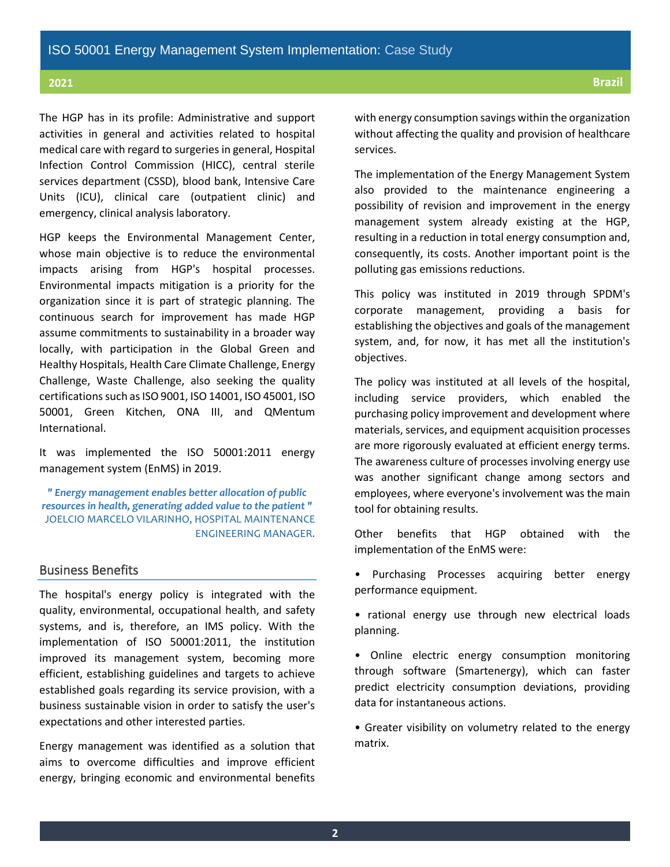The HGP has in its profile: Administrative and support activities in general and activities related to hospital medical care with regard to surgeries in general, Hospital Infection Control Commission (HICC), central sterile services department (CSSD), blood bank, Intensive Care Units (ICU), clinical care (outpatient clinic) and emergency, clinical analysis laboratory.

HGP keeps the Environmental Management Center, whose main objective is to reduce the environmental impacts arising from HGP's hospital processes. Environmental impacts mitigation is a priority for the organization since it is part of strategic planning. The continuous search for improvement has made HGP assume commitments to sustainability in a broader way locally, with participation in the Global Green and Healthy Hospitals, Health Care Climate Challenge, Energy Challenge, Waste Challenge, also seeking the quality certifications such as ISO 9001, ISO 14001, ISO 45001, ISO 50001, Green Kitchen, ONA III, and QMentum International.

It was implemented the ISO 50001:2011 energy management system (EnMS) in 2019.

*" Energy management enables better allocation of public resources in health, generating added value to the patient "* JOELCIO MARCELO VILARINHO, HOSPITAL MAINTENANCE ENGINEERING MANAGER.

#### Business Benefits

The hospital's energy policy is integrated with the quality, environmental, occupational health, and safety systems, and is, therefore, an IMS policy. With the implementation of ISO 50001:2011, the institution improved its management system, becoming more efficient, establishing guidelines and targets to achieve established goals regarding its service provision, with a business sustainable vision in order to satisfy the user's expectations and other interested parties.

Energy management was identified as a solution that aims to overcome difficulties and improve efficient energy, bringing economic and environmental benefits with energy consumption savings within the organization without affecting the quality and provision of healthcare services.

The implementation of the Energy Management System also provided to the maintenance engineering a possibility of revision and improvement in the energy management system already existing at the HGP, resulting in a reduction in total energy consumption and, consequently, its costs. Another important point is the polluting gas emissions reductions.

This policy was instituted in 2019 through SPDM's corporate management, providing a basis for establishing the objectives and goals of the management system, and, for now, it has met all the institution's objectives.

The policy was instituted at all levels of the hospital, including service providers, which enabled the purchasing policy improvement and development where materials, services, and equipment acquisition processes are more rigorously evaluated at efficient energy terms. The awareness culture of processes involving energy use was another significant change among sectors and employees, where everyone's involvement was the main tool for obtaining results.

Other benefits that HGP obtained with the implementation of the EnMS were:

• Purchasing Processes acquiring better energy performance equipment.

• rational energy use through new electrical loads planning.

• Online electric energy consumption monitoring through software (Smartenergy), which can faster predict electricity consumption deviations, providing data for instantaneous actions.

• Greater visibility on volumetry related to the energy matrix.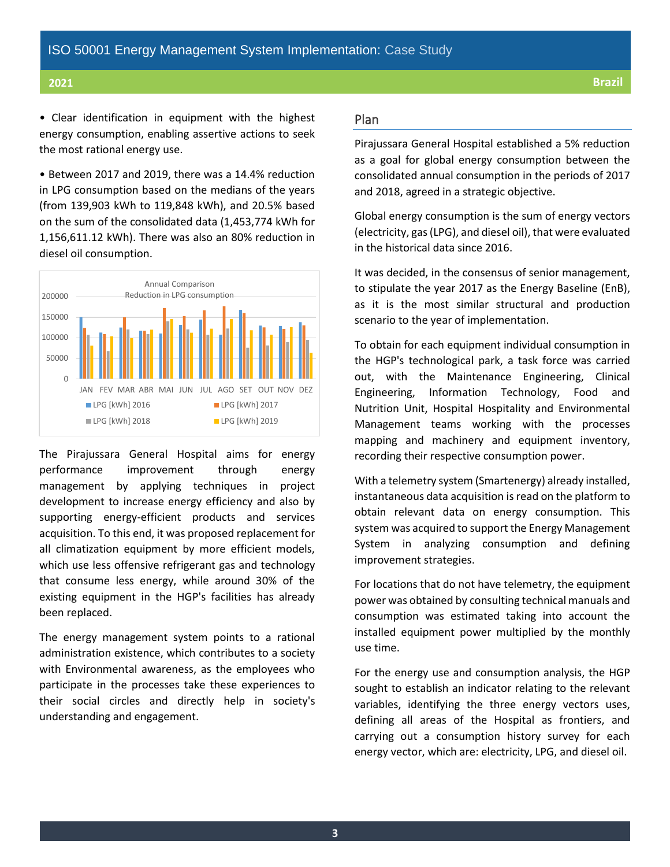• Clear identification in equipment with the highest energy consumption, enabling assertive actions to seek the most rational energy use.

• Between 2017 and 2019, there was a 14.4% reduction in LPG consumption based on the medians of the years (from 139,903 kWh to 119,848 kWh), and 20.5% based on the sum of the consolidated data (1,453,774 kWh for 1,156,611.12 kWh). There was also an 80% reduction in diesel oil consumption.



The Pirajussara General Hospital aims for energy performance improvement through energy management by applying techniques in project development to increase energy efficiency and also by supporting energy-efficient products and services acquisition. To this end, it was proposed replacement for all climatization equipment by more efficient models, which use less offensive refrigerant gas and technology that consume less energy, while around 30% of the existing equipment in the HGP's facilities has already been replaced.

The energy management system points to a rational administration existence, which contributes to a society with Environmental awareness, as the employees who participate in the processes take these experiences to their social circles and directly help in society's understanding and engagement.

### Plan

Pirajussara General Hospital established a 5% reduction as a goal for global energy consumption between the consolidated annual consumption in the periods of 2017 and 2018, agreed in a strategic objective.

Global energy consumption is the sum of energy vectors (electricity, gas (LPG), and diesel oil), that were evaluated in the historical data since 2016.

It was decided, in the consensus of senior management, to stipulate the year 2017 as the Energy Baseline (EnB), as it is the most similar structural and production scenario to the year of implementation.

To obtain for each equipment individual consumption in the HGP's technological park, a task force was carried out, with the Maintenance Engineering, Clinical Engineering, Information Technology, Food and Nutrition Unit, Hospital Hospitality and Environmental Management teams working with the processes mapping and machinery and equipment inventory, recording their respective consumption power.

With a telemetry system (Smartenergy) already installed, instantaneous data acquisition is read on the platform to obtain relevant data on energy consumption. This system was acquired to support the Energy Management System in analyzing consumption and defining improvement strategies.

For locations that do not have telemetry, the equipment power was obtained by consulting technical manuals and consumption was estimated taking into account the installed equipment power multiplied by the monthly use time.

For the energy use and consumption analysis, the HGP sought to establish an indicator relating to the relevant variables, identifying the three energy vectors uses, defining all areas of the Hospital as frontiers, and carrying out a consumption history survey for each energy vector, which are: electricity, LPG, and diesel oil.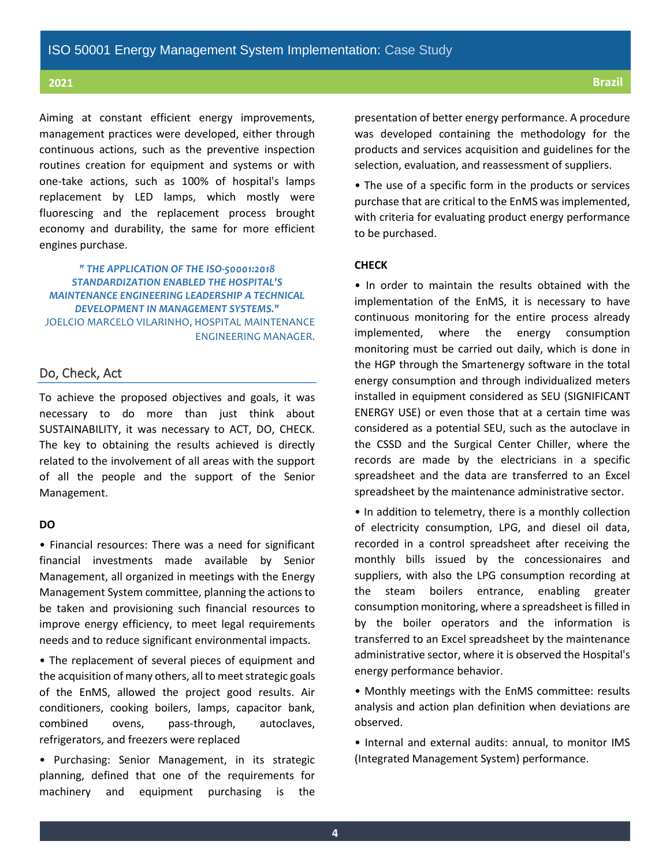Aiming at constant efficient energy improvements, management practices were developed, either through continuous actions, such as the preventive inspection routines creation for equipment and systems or with one-take actions, such as 100% of hospital's lamps replacement by LED lamps, which mostly were fluorescing and the replacement process brought economy and durability, the same for more efficient engines purchase.

*" THE APPLICATION OF THE ISO-50001:2018 STANDARDIZATION ENABLED THE HOSPITAL'S MAINTENANCE ENGINEERING LEADERSHIP A TECHNICAL DEVELOPMENT IN MANAGEMENT SYSTEMS."* JOELCIO MARCELO VILARINHO, HOSPITAL MAINTENANCE ENGINEERING MANAGER.

### Do, Check, Act

To achieve the proposed objectives and goals, it was necessary to do more than just think about SUSTAINABILITY, it was necessary to ACT, DO, CHECK. The key to obtaining the results achieved is directly related to the involvement of all areas with the support of all the people and the support of the Senior Management.

#### **DO**

• Financial resources: There was a need for significant financial investments made available by Senior Management, all organized in meetings with the Energy Management System committee, planning the actions to be taken and provisioning such financial resources to improve energy efficiency, to meet legal requirements needs and to reduce significant environmental impacts.

• The replacement of several pieces of equipment and the acquisition of many others, all to meet strategic goals of the EnMS, allowed the project good results. Air conditioners, cooking boilers, lamps, capacitor bank, combined ovens, pass-through, autoclaves, refrigerators, and freezers were replaced

• Purchasing: Senior Management, in its strategic planning, defined that one of the requirements for machinery and equipment purchasing is the presentation of better energy performance. A procedure was developed containing the methodology for the products and services acquisition and guidelines for the selection, evaluation, and reassessment of suppliers.

• The use of a specific form in the products or services purchase that are critical to the EnMS was implemented, with criteria for evaluating product energy performance to be purchased.

#### **CHECK**

• In order to maintain the results obtained with the implementation of the EnMS, it is necessary to have continuous monitoring for the entire process already implemented, where the energy consumption monitoring must be carried out daily, which is done in the HGP through the Smartenergy software in the total energy consumption and through individualized meters installed in equipment considered as SEU (SIGNIFICANT ENERGY USE) or even those that at a certain time was considered as a potential SEU, such as the autoclave in the CSSD and the Surgical Center Chiller, where the records are made by the electricians in a specific spreadsheet and the data are transferred to an Excel spreadsheet by the maintenance administrative sector.

• In addition to telemetry, there is a monthly collection of electricity consumption, LPG, and diesel oil data, recorded in a control spreadsheet after receiving the monthly bills issued by the concessionaires and suppliers, with also the LPG consumption recording at the steam boilers entrance, enabling greater consumption monitoring, where a spreadsheet is filled in by the boiler operators and the information is transferred to an Excel spreadsheet by the maintenance administrative sector, where it is observed the Hospital's energy performance behavior.

• Monthly meetings with the EnMS committee: results analysis and action plan definition when deviations are observed.

• Internal and external audits: annual, to monitor IMS (Integrated Management System) performance.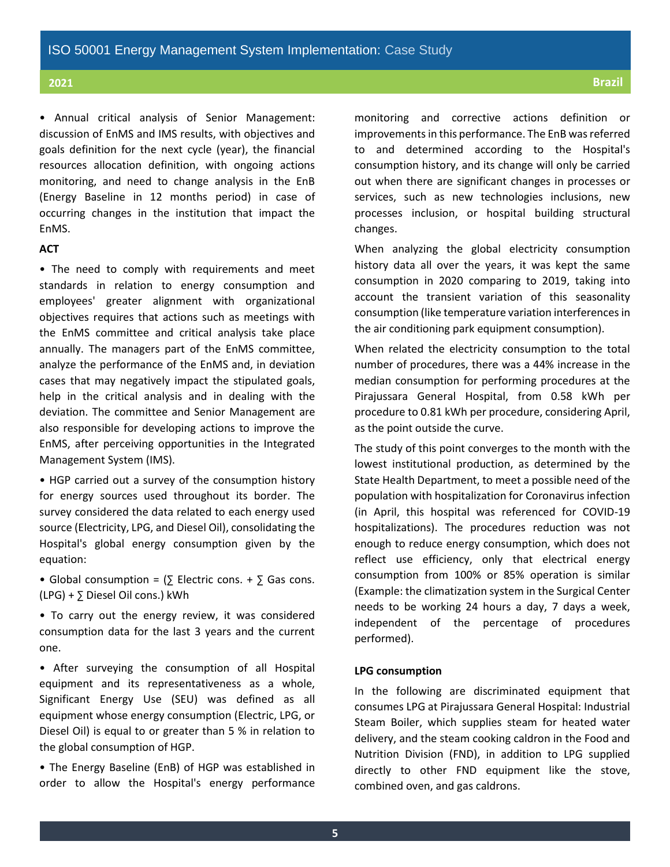• Annual critical analysis of Senior Management: discussion of EnMS and IMS results, with objectives and goals definition for the next cycle (year), the financial resources allocation definition, with ongoing actions monitoring, and need to change analysis in the EnB (Energy Baseline in 12 months period) in case of occurring changes in the institution that impact the EnMS.

#### **ACT**

• The need to comply with requirements and meet standards in relation to energy consumption and employees' greater alignment with organizational objectives requires that actions such as meetings with the EnMS committee and critical analysis take place annually. The managers part of the EnMS committee, analyze the performance of the EnMS and, in deviation cases that may negatively impact the stipulated goals, help in the critical analysis and in dealing with the deviation. The committee and Senior Management are also responsible for developing actions to improve the EnMS, after perceiving opportunities in the Integrated Management System (IMS).

• HGP carried out a survey of the consumption history for energy sources used throughout its border. The survey considered the data related to each energy used source (Electricity, LPG, and Diesel Oil), consolidating the Hospital's global energy consumption given by the equation:

- Global consumption =  $(\Sigma$  Electric cons. +  $\Sigma$  Gas cons. (LPG) + ∑ Diesel Oil cons.) kWh
- To carry out the energy review, it was considered consumption data for the last 3 years and the current one.

• After surveying the consumption of all Hospital equipment and its representativeness as a whole, Significant Energy Use (SEU) was defined as all equipment whose energy consumption (Electric, LPG, or Diesel Oil) is equal to or greater than 5 % in relation to the global consumption of HGP.

• The Energy Baseline (EnB) of HGP was established in order to allow the Hospital's energy performance monitoring and corrective actions definition or improvements in this performance. The EnB was referred to and determined according to the Hospital's consumption history, and its change will only be carried out when there are significant changes in processes or services, such as new technologies inclusions, new processes inclusion, or hospital building structural changes.

When analyzing the global electricity consumption history data all over the years, it was kept the same consumption in 2020 comparing to 2019, taking into account the transient variation of this seasonality consumption (like temperature variation interferences in the air conditioning park equipment consumption).

When related the electricity consumption to the total number of procedures, there was a 44% increase in the median consumption for performing procedures at the Pirajussara General Hospital, from 0.58 kWh per procedure to 0.81 kWh per procedure, considering April, as the point outside the curve.

The study of this point converges to the month with the lowest institutional production, as determined by the State Health Department, to meet a possible need of the population with hospitalization for Coronavirus infection (in April, this hospital was referenced for COVID-19 hospitalizations). The procedures reduction was not enough to reduce energy consumption, which does not reflect use efficiency, only that electrical energy consumption from 100% or 85% operation is similar (Example: the climatization system in the Surgical Center needs to be working 24 hours a day, 7 days a week, independent of the percentage of procedures performed).

#### **LPG consumption**

In the following are discriminated equipment that consumes LPG at Pirajussara General Hospital: Industrial Steam Boiler, which supplies steam for heated water delivery, and the steam cooking caldron in the Food and Nutrition Division (FND), in addition to LPG supplied directly to other FND equipment like the stove, combined oven, and gas caldrons.